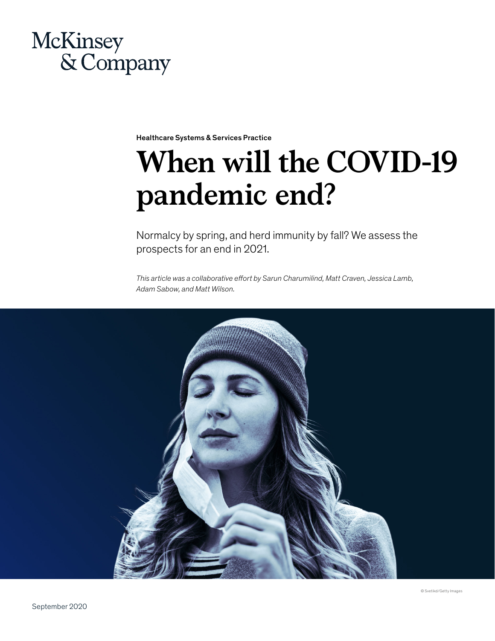# McKinsey & Company

Healthcare Systems & Services Practice

# **When will the COVID-19 pandemic end?**

Normalcy by spring, and herd immunity by fall? We assess the prospects for an end in 2021.

*This article was a collaborative effort by Sarun Charumilind, Matt Craven, Jessica Lamb, Adam Sabow, and Matt Wilson.*

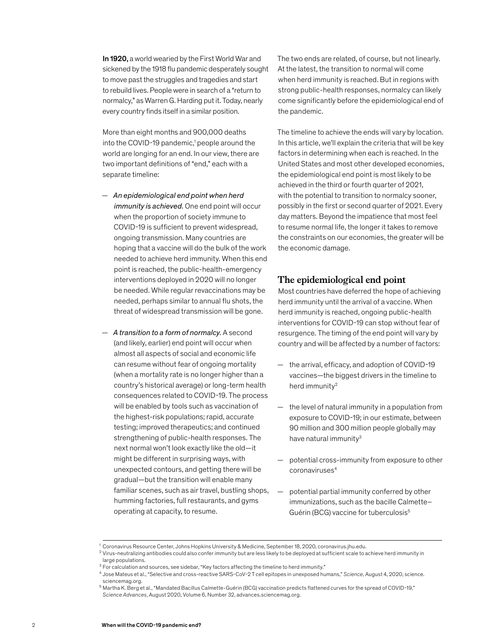In 1920, a world wearied by the First World War and sickened by the 1918 flu pandemic desperately sought to move past the struggles and tragedies and start to rebuild lives. People were in search of a "return to normalcy," as Warren G. Harding put it. Today, nearly every country finds itself in a similar position.

More than eight months and 900,000 deaths into the COVID-19 pandemic,<sup>1</sup> people around the world are longing for an end. In our view, there are two important definitions of "end," each with a separate timeline:

- *An epidemiological end point when herd immunity is achieved.* One end point will occur when the proportion of society immune to COVID-19 is sufficient to prevent widespread, ongoing transmission. Many countries are hoping that a vaccine will do the bulk of the work needed to achieve herd immunity. When this end point is reached, the public-health-emergency interventions deployed in 2020 will no longer be needed. While regular revaccinations may be needed, perhaps similar to annual flu shots, the threat of widespread transmission will be gone.
- *A transition to a form of normalcy.* A second (and likely, earlier) end point will occur when almost all aspects of social and economic life can resume without fear of ongoing mortality (when a mortality rate is no longer higher than a country's historical average) or long-term health consequences related to COVID-19. The process will be enabled by tools such as vaccination of the highest-risk populations; rapid, accurate testing; improved therapeutics; and continued strengthening of public-health responses. The next normal won't look exactly like the old—it might be different in surprising ways, with unexpected contours, and getting there will be gradual—but the transition will enable many familiar scenes, such as air travel, bustling shops, humming factories, full restaurants, and gyms operating at capacity, to resume.

The two ends are related, of course, but not linearly. At the latest, the transition to normal will come when herd immunity is reached. But in regions with strong public-health responses, normalcy can likely come significantly before the epidemiological end of the pandemic.

The timeline to achieve the ends will vary by location. In this article, we'll explain the criteria that will be key factors in determining when each is reached. In the United States and most other developed economies, the epidemiological end point is most likely to be achieved in the third or fourth quarter of 2021, with the potential to transition to normalcy sooner, possibly in the first or second quarter of 2021. Every day matters. Beyond the impatience that most feel to resume normal life, the longer it takes to remove the constraints on our economies, the greater will be the economic damage.

# **The epidemiological end point**

Most countries have deferred the hope of achieving herd immunity until the arrival of a vaccine. When herd immunity is reached, ongoing public-health interventions for COVID-19 can stop without fear of resurgence. The timing of the end point will vary by country and will be affected by a number of factors:

- the arrival, efficacy, and adoption of COVID-19 vaccines—the biggest drivers in the timeline to herd immunity2
- the level of natural immunity in a population from exposure to COVID-19; in our estimate, between 90 million and 300 million people globally may have natural immunity<sup>3</sup>
- potential cross-immunity from exposure to other coronaviruses<sup>4</sup>
- potential partial immunity conferred by other immunizations, such as the bacille Calmette– Guérin (BCG) vaccine for tuberculosis5

<sup>1</sup> Coronavirus Resource Center, Johns Hopkins University & Medicine, September 18, 2020, coronavirus.jhu.edu.

 $2$  Virus-neutralizing antibodies could also confer immunity but are less likely to be deployed at sufficient scale to achieve herd immunity in large populations.

<sup>&</sup>lt;sup>3</sup> For calculation and sources, see sidebar, "Key factors affecting the timeline to herd immunity."

<sup>4</sup> Jose Mateus et al., "Selective and cross-reactive SARS-CoV-2 T cell epitopes in unexposed humans," *Science*, August 4, 2020, science. sciencemag.org.

<sup>5</sup> Martha K. Berg et al., "Mandated Bacillus Calmette-Guérin (BCG) vaccination predicts flattened curves for the spread of COVID-19," *Science Advances*, August 2020, Volume 6, Number 32, advances.sciencemag.org.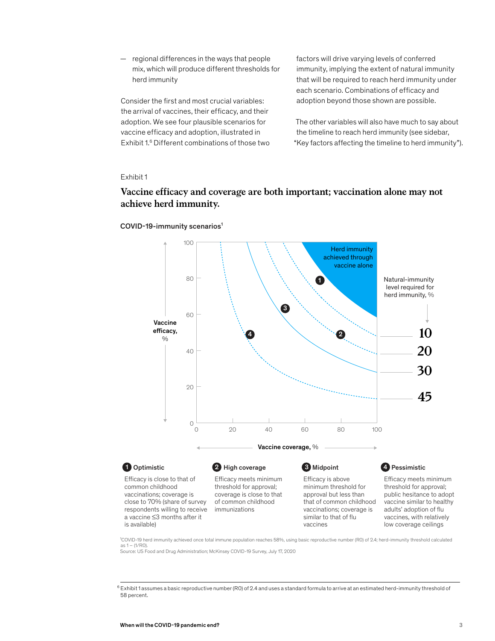— regional differences in the ways that people mix, which will produce different thresholds for herd immunity

Consider the first and most crucial variables: the arrival of vaccines, their efficacy, and their adoption. We see four plausible scenarios for vaccine efficacy and adoption, illustrated in Exhibit 1.6 Different combinations of those two factors will drive varying levels of conferred immunity, implying the extent of natural immunity that will be required to reach herd immunity under each scenario. Combinations of efficacy and adoption beyond those shown are possible.

The other variables will also have much to say about the timeline to reach herd immunity (see sidebar, "Key factors affecting the timeline to herd immunity").

#### Exhibit 1

# Vaccine efficacy and coverage are both important; vaccination alone may not not achieve herd immunity. **achieve herd immunity.**



#### COVID-19-immunity scenarios<sup>1</sup>

<sup>1</sup>COVID-19 herd immunity achieved once total immune population reaches 58%, using basic reproductive number (RO) of 2.4; herd-immunity threshold calculated  $as 1 - (1/RO)$ .

Source: US Food and Drug Administration; McKinsey COVID-19 Survey, July 17, 2020

 $^6$  Exhibit 1 assumes a basic reproductive number (RO) of 2.4 and uses a standard formula to arrive at an estimated herd-immunity threshold of 58 percent.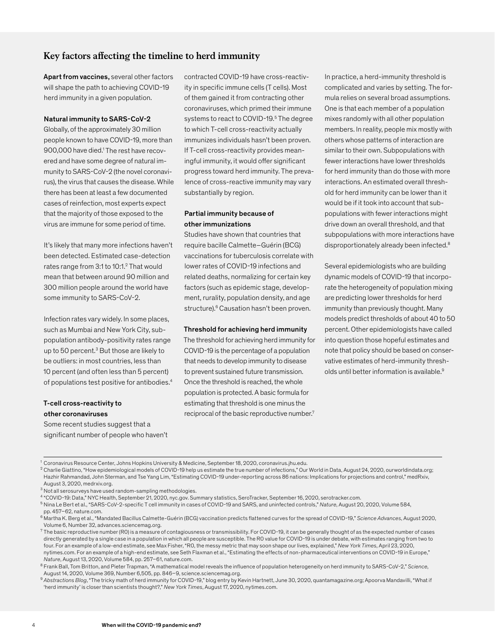# **Key factors affecting the timeline to herd immunity**

Apart from vaccines, several other factors will shape the path to achieving COVID-19 herd immunity in a given population.

#### Natural immunity to SARS-CoV-2

Globally, of the approximately 30 million people known to have COVID-19, more than 900,000 have died.<sup>1</sup> The rest have recovered and have some degree of natural immunity to SARS-CoV-2 (the novel coronavirus), the virus that causes the disease. While there has been at least a few documented cases of reinfection, most experts expect that the majority of those exposed to the virus are immune for some period of time.

It's likely that many more infections haven't been detected. Estimated case-detection rates range from 3:1 to 10:1.<sup>2</sup> That would mean that between around 90 million and 300 million people around the world have some immunity to SARS-CoV-2.

Infection rates vary widely. In some places, such as Mumbai and New York City, subpopulation antibody-positivity rates range up to 50 percent.<sup>3</sup> But those are likely to be outliers: in most countries, less than 10 percent (and often less than 5 percent) of populations test positive for antibodies.4

# T-cell cross-reactivity to other coronaviruses

Some recent studies suggest that a significant number of people who haven't

contracted COVID-19 have cross-reactivity in specific immune cells (T cells). Most of them gained it from contracting other coronaviruses, which primed their immune systems to react to COVID-19.<sup>5</sup> The degree to which T-cell cross-reactivity actually immunizes individuals hasn't been proven. If T-cell cross-reactivity provides meaningful immunity, it would offer significant progress toward herd immunity. The prevalence of cross-reactive immunity may vary substantially by region.

# Partial immunity because of other immunizations

Studies have shown that countries that require bacille Calmette–Guérin (BCG) vaccinations for tuberculosis correlate with lower rates of COVID-19 infections and related deaths, normalizing for certain key factors (such as epidemic stage, development, rurality, population density, and age structure).<sup>6</sup> Causation hasn't been proven.

#### Threshold for achieving herd immunity

The threshold for achieving herd immunity for COVID-19 is the percentage of a population that needs to develop immunity to disease to prevent sustained future transmission. Once the threshold is reached, the whole population is protected. A basic formula for estimating that threshold is one minus the reciprocal of the basic reproductive number.<sup>7</sup>

In practice, a herd-immunity threshold is complicated and varies by setting. The formula relies on several broad assumptions. One is that each member of a population mixes randomly with all other population members. In reality, people mix mostly with others whose patterns of interaction are similar to their own. Subpopulations with fewer interactions have lower thresholds for herd immunity than do those with more interactions. An estimated overall threshold for herd immunity can be lower than it would be if it took into account that subpopulations with fewer interactions might drive down an overall threshold, and that subpopulations with more interactions have disproportionately already been infected.<sup>8</sup>

Several epidemiologists who are building dynamic models of COVID-19 that incorporate the heterogeneity of population mixing are predicting lower thresholds for herd immunity than previously thought. Many models predict thresholds of about 40 to 50 percent. Other epidemiologists have called into question those hopeful estimates and note that policy should be based on conservative estimates of herd-immunity thresholds until better information is available.9

<sup>2</sup> Charlie Giattino, "How epidemiological models of COVID-19 help us estimate the true number of infections," Our World in Data, August 24, 2020, ourworldindata.org; Hazhir Rahmandad, John Sterman, and Tse Yang Lim, "Estimating COVID-19 under-reporting across 86 nations: Implications for projections and control," medRxiv, August 3, 2020, medrxiv.org.

9 Abstractions Blog, "The tricky math of herd immunity for COVID-19," blog entry by Kevin Hartnett, June 30, 2020, quantamagazine.org; Apoorva Mandavilli, "What if 'herd immunity' is closer than scientists thought?," *New York Times*, August 17, 2020, nytimes.com.

<sup>1</sup> Coronavirus Resource Center, Johns Hopkins University & Medicine, September 18, 2020, coronavirus.jhu.edu.

<sup>3</sup> Not all serosurveys have used random-sampling methodologies.

<sup>4</sup> "COVID-19: Data," NYC Health, September 21, 2020, nyc.gov. Summary statistics, SeroTracker, September 16, 2020, serotracker.com.

<sup>5</sup> Nina Le Bert et al., "SARS-CoV-2-specific T cell immunity in cases of COVID-19 and SARS, and uninfected controls," *Nature*, August 20, 2020, Volume 584, pp. 457–62, nature.com.

<sup>6</sup> Martha K. Berg et al., "Mandated Bacillus Calmette-Guérin (BCG) vaccination predicts flattened curves for the spread of COVID-19," *Science Advances*, August 2020, Volume 6, Number 32, advances.sciencemag.org.

 $^7$  The basic reproductive number (RO) is a measure of contagiousness or transmissibility. For COVID-19, it can be generally thought of as the expected number of cases directly generated by a single case in a population in which all people are susceptible. The R0 value for COVID-19 is under debate, with estimates ranging from two to four. For an example of a low-end estimate, see Max Fisher, "R0, the messy metric that may soon shape our lives, explained," *New York Times*, April 23, 2020, nytimes.com. For an example of a high-end estimate, see Seth Flaxman et al., "Estimating the effects of non-pharmaceutical interventions on COVID-19 in Europe,"<br>Nature, August 13, 2020, Volume 584, pp. 257–61, nature.com.

<sup>&</sup>lt;sup>8</sup> Frank Ball, Tom Britton, and Pieter Trapman, "A mathematical model reveals the influence of population heterogeneity on herd immunity to SARS-CoV-2," Science, August 14, 2020, Volume 369, Number 6,505, pp. 846–9, science.sciencemag.org.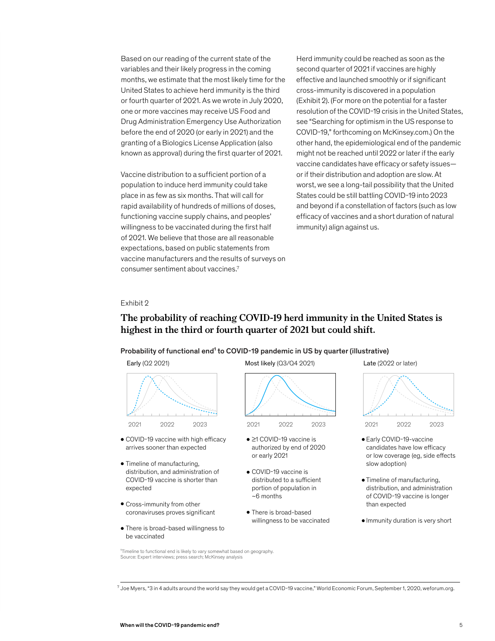Based on our reading of the current state of the variables and their likely progress in the coming months, we estimate that the most likely time for the United States to achieve herd immunity is the third or fourth quarter of 2021. As we wrote in July 2020, one or more vaccines may receive US Food and Drug Administration Emergency Use Authorization before the end of 2020 (or early in 2021) and the granting of a Biologics License Application (also known as approval) during the first quarter of 2021.

Vaccine distribution to a sufficient portion of a population to induce herd immunity could take place in as few as six months. That will call for rapid availability of hundreds of millions of doses, functioning vaccine supply chains, and peoples' willingness to be vaccinated during the first half of 2021. We believe that those are all reasonable expectations, based on public statements from vaccine manufacturers and the results of surveys on consumer sentiment about vaccines.7

Herd immunity could be reached as soon as the second quarter of 2021 if vaccines are highly effective and launched smoothly or if significant cross-immunity is discovered in a population (Exhibit 2). (For more on the potential for a faster resolution of the COVID-19 crisis in the United States, see "Searching for optimism in the US response to COVID-19," forthcoming on McKinsey.com.) On the other hand, the epidemiological end of the pandemic might not be reached until 2022 or later if the early vaccine candidates have efficacy or safety issues or if their distribution and adoption are slow. At worst, we see a long-tail possibility that the United States could be still battling COVID-19 into 2023 and beyond if a constellation of factors (such as low efficacy of vaccines and a short duration of natural immunity) align against us.

#### Exhibit 2 Exhibit 2

# The probability of reaching COVID-19 herd immunity in the United States is **The probability of reaching COVID-19 herd immunity in the United States is**  highest in the third or fourth quarter of 2021 but could shift. **highest in the third or fourth quarter of 2021 but could shift.**

## Probability of functional end<sup>1</sup> to COVID-19 pandemic in US by quarter (illustrative)



- COVID-19 vaccine with high efficacy arrives sooner than expected
- Timeline of manufacturing, distribution, and administration of COVID-19 vaccine is shorter than expected
- Cross-immunity from other coronaviruses proves significant
- There is broad-based willingness to be vaccinated



- ≥1 COVID-19 vaccine is authorized by end of 2020 or early 2021
- COVID-19 vaccine is distributed to a sufficient portion of population in ~6 months
- There is broad-based willingness to be vaccinated





- Timeline of manufacturing, distribution, and administration of COVID-19 vaccine is longer than expected
- Immunity duration is very short

<sup>1</sup>Timeline to functional end is likely to vary somewhat based on geography. Source: Expert interviews; press search; McKinsey analysis

<sup>7</sup> Joe Myers, "3 in 4 adults around the world say they would get a COVID-19 vaccine," World Economic Forum, September 1, 2020, weforum.org.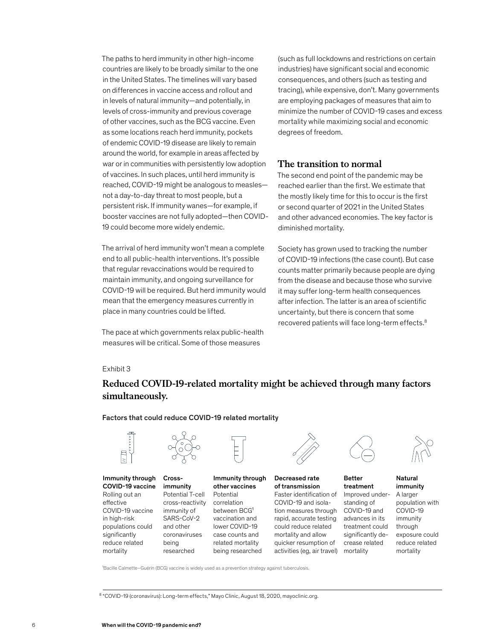The paths to herd immunity in other high-income countries are likely to be broadly similar to the one in the United States. The timelines will vary based on differences in vaccine access and rollout and in levels of natural immunity—and potentially, in levels of cross-immunity and previous coverage of other vaccines, such as the BCG vaccine. Even as some locations reach herd immunity, pockets of endemic COVID-19 disease are likely to remain around the world, for example in areas affected by war or in communities with persistently low adoption of vaccines. In such places, until herd immunity is reached, COVID-19 might be analogous to measles not a day-to-day threat to most people, but a persistent risk. If immunity wanes—for example, if booster vaccines are not fully adopted—then COVID-19 could become more widely endemic.

The arrival of herd immunity won't mean a complete end to all public-health interventions. It's possible that regular revaccinations would be required to maintain immunity, and ongoing surveillance for COVID-19 will be required. But herd immunity would mean that the emergency measures currently in place in many countries could be lifted.

The pace at which governments relax public-health measures will be critical. Some of those measures

(such as full lockdowns and restrictions on certain industries) have significant social and economic consequences, and others (such as testing and tracing), while expensive, don't. Many governments are employing packages of measures that aim to minimize the number of COVID-19 cases and excess mortality while maximizing social and economic degrees of freedom.

# **The transition to normal**

The second end point of the pandemic may be reached earlier than the first. We estimate that the mostly likely time for this to occur is the first or second quarter of 2021 in the United States and other advanced economies. The key factor is diminished mortality.

Society has grown used to tracking the number of COVID-19 infections (the case count). But case counts matter primarily because people are dying from the disease and because those who survive it may suffer long-term health consequences after infection. The latter is an area of scientific uncertainty, but there is concern that some recovered patients will face long-term effects.8

### Exhibit 3

# Reduced COVID-19-related mortality might be achieved through many factors **Reduced COVID-19-related mortality might be achieved through many factors**  simultaneously. **simultaneously.**

Factors that could reduce COVID-19 related mortality



Immunity through COVID-19 vaccine Rolling out an effective COVID-19 vaccine in high-risk populations could significantly reduce related mortality



Crossimmunity Potential T-cell cross-reactivity immunity of SARS-CoV-2 and other coronaviruses being researched



Immunity through other vaccines Potential correlation between BCG1 vaccination and lower COVID-19 case counts and

related mortality being researched



#### Decreased rate of transmission

Faster identification of COVID-19 and isolation measures through rapid, accurate testing could reduce related mortality and allow quicker resumption of activities (eg, air travel)



Better treatment Improved understanding of COVID-19 and advances in its treatment could significantly decrease related mortality



Natural immunity A larger population with COVID-19 immunity through exposure could reduce related mortality

<sup>1</sup>Bacille Calmette–Guérin (BCG) vaccine is widely used as a prevention strategy against tuberculosis

<sup>8</sup> "COVID-19 (coronavirus): Long-term effects," Mayo Clinic, August 18, 2020, mayoclinic.org.